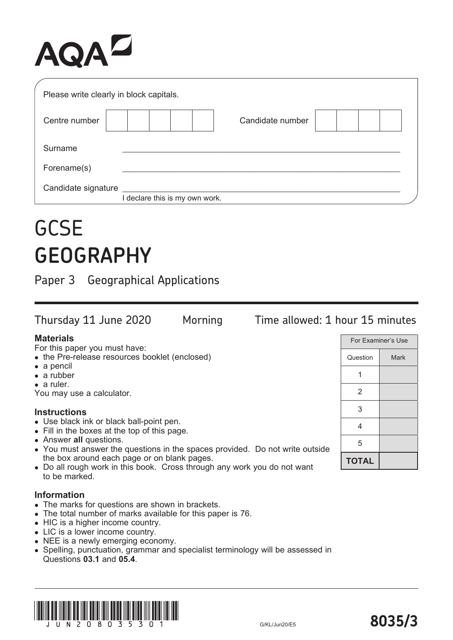# AQAZ

| Please write clearly in block capitals. |                              |
|-----------------------------------------|------------------------------|
| Centre number                           | Candidate number             |
| Surname                                 |                              |
| Forename(s)                             |                              |
| Candidate signature                     | declare this is my own work. |

## **GCSE GEOGRAPHY**

Paper 3 Geographical Applications

Thursday 11 June 2020 Morning Time allowed: 1 hour 15 minutes **Materials** For this paper you must have: • the Pre-release resources booklet (enclosed) For Examiner's Use

- a pencil
- a rubber
- a ruler.

You may use a calculator.

#### **Instructions**

- Use black ink or black ball-point pen.
- Fill in the boxes at the top of this page.
- Answer **all** questions.
- You must answer the questions in the spaces provided. Do not write outside the box around each page or on blank pages.
- Do all rough work in this book. Cross through any work you do not want to be marked.

#### **Information**

- The marks for questions are shown in brackets.
- The total number of marks available for this paper is 76.
- HIC is a higher income country.
- LIC is a lower income country.
- NEE is a newly emerging economy.
- Spelling, punctuation, grammar and specialist terminology will be assessed in Questions **03.1** and **05.4**.



**TOTAL**

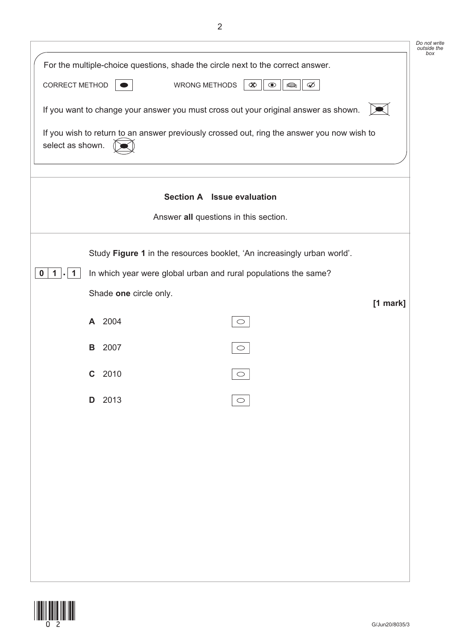|                  |        |                                                                                            | Do not write<br>outside the<br>box |
|------------------|--------|--------------------------------------------------------------------------------------------|------------------------------------|
|                  |        | For the multiple-choice questions, shade the circle next to the correct answer.            |                                    |
| CORRECT METHOD   |        | <b>WRONG METHODS</b><br>$\infty$<br>$\bullet$<br>$\Rightarrow$<br>$\varnothing$            |                                    |
|                  |        | If you want to change your answer you must cross out your original answer as shown.        |                                    |
| select as shown. |        | If you wish to return to an answer previously crossed out, ring the answer you now wish to |                                    |
|                  |        | Section A Issue evaluation                                                                 |                                    |
|                  |        | Answer all questions in this section.                                                      |                                    |
|                  |        | Study Figure 1 in the resources booklet, 'An increasingly urban world'.                    |                                    |
| 0<br>1<br>1      |        | In which year were global urban and rural populations the same?                            |                                    |
|                  |        | Shade one circle only.                                                                     |                                    |
|                  | A 2004 | $\bigcirc$                                                                                 | $[1$ mark]                         |
|                  | В      | 2007                                                                                       |                                    |
|                  |        | $\bigcirc$                                                                                 |                                    |
|                  | C      | 2010<br>$\bigcirc$                                                                         |                                    |
|                  | D 2013 |                                                                                            |                                    |
|                  |        |                                                                                            |                                    |
|                  |        |                                                                                            |                                    |
|                  |        |                                                                                            |                                    |
|                  |        |                                                                                            |                                    |
|                  |        |                                                                                            |                                    |
|                  |        |                                                                                            |                                    |
|                  |        |                                                                                            |                                    |
|                  |        |                                                                                            |                                    |

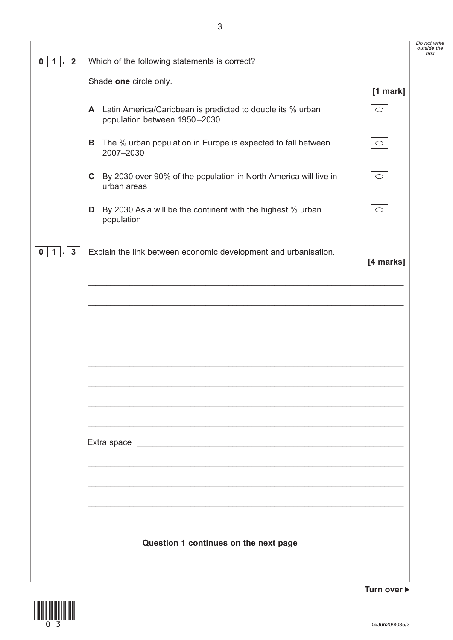*Do not write outside the box*

| $\mathbf{2}$<br>1.           |   | Which of the following statements is correct?                                                |            |
|------------------------------|---|----------------------------------------------------------------------------------------------|------------|
|                              |   | Shade one circle only.                                                                       | [1 mark]   |
|                              |   | A Latin America/Caribbean is predicted to double its % urban<br>population between 1950-2030 | $\circ$    |
|                              | В | The % urban population in Europe is expected to fall between<br>2007-2030                    | $\circ$    |
|                              |   | C By 2030 over 90% of the population in North America will live in<br>urban areas            | $\bigcirc$ |
|                              |   | <b>D</b> By 2030 Asia will be the continent with the highest % urban<br>population           | $\bigcirc$ |
| $\mathbf{3}$<br>$\mathbf{1}$ |   | Explain the link between economic development and urbanisation.                              | [4 marks]  |
|                              |   |                                                                                              |            |
|                              |   |                                                                                              |            |
|                              |   |                                                                                              |            |
|                              |   |                                                                                              |            |
|                              |   |                                                                                              |            |
|                              |   |                                                                                              |            |
|                              |   |                                                                                              |            |
|                              |   |                                                                                              |            |
|                              |   |                                                                                              |            |
|                              |   | Question 1 continues on the next page                                                        |            |



Turn over  $\blacktriangleright$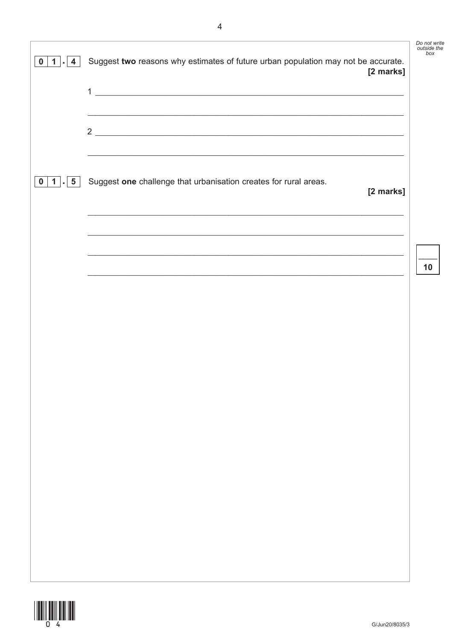| $\mathbf 0$<br>$1$ . 4 | Suggest two reasons why estimates of future urban population may not be accurate.<br>[2 marks]<br>$\mathbf{1}$<br><u> Alexandro de la contrada de la contrada de la contrada de la contrada de la contrada de la contrada de la co</u><br>,我们也不能在这里的人,我们也不能在这里的人,我们也不能在这里的人,我们也不能在这里的人,我们也不能在这里的人,我们也不能在这里的人,我们也不能在这里的人,我们也 | Do not write<br>outside the<br>box |
|------------------------|-----------------------------------------------------------------------------------------------------------------------------------------------------------------------------------------------------------------------------------------------------------------------------------------------------------------------------|------------------------------------|
|                        | $2 \overline{ }$                                                                                                                                                                                                                                                                                                            |                                    |
| $1$ . 5<br>$\mathbf 0$ | Suggest one challenge that urbanisation creates for rural areas.<br>[2 marks]<br><u> 1989 - Johann Barbara, markazar margolaria (h. 1989).</u>                                                                                                                                                                              |                                    |
|                        | <u> 1989 - Johann Barn, mars an t-Amerikaansk politiker (* 1908)</u>                                                                                                                                                                                                                                                        | 10                                 |
|                        |                                                                                                                                                                                                                                                                                                                             |                                    |
|                        |                                                                                                                                                                                                                                                                                                                             |                                    |
|                        |                                                                                                                                                                                                                                                                                                                             |                                    |
|                        |                                                                                                                                                                                                                                                                                                                             |                                    |
|                        |                                                                                                                                                                                                                                                                                                                             |                                    |

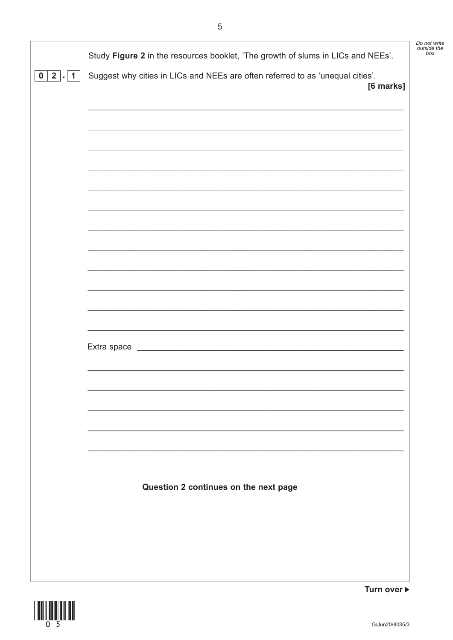|              |                                                                                             | Do not write<br>outside the |
|--------------|---------------------------------------------------------------------------------------------|-----------------------------|
|              | Study Figure 2 in the resources booklet, 'The growth of slums in LICs and NEEs'.            | box                         |
| 0   2  <br>1 | Suggest why cities in LICs and NEEs are often referred to as 'unequal cities'.<br>[6 marks] |                             |
|              |                                                                                             |                             |
|              |                                                                                             |                             |
|              |                                                                                             |                             |
|              |                                                                                             |                             |
|              |                                                                                             |                             |
|              |                                                                                             |                             |
|              |                                                                                             |                             |
|              |                                                                                             |                             |
|              |                                                                                             |                             |
|              |                                                                                             |                             |
|              |                                                                                             |                             |
|              |                                                                                             |                             |
|              |                                                                                             |                             |
|              |                                                                                             |                             |
|              |                                                                                             |                             |
|              |                                                                                             |                             |
|              |                                                                                             |                             |
|              |                                                                                             |                             |
|              |                                                                                             |                             |
|              |                                                                                             |                             |
|              |                                                                                             |                             |
|              | Question 2 continues on the next page                                                       |                             |
|              |                                                                                             |                             |
|              |                                                                                             |                             |
|              |                                                                                             |                             |
|              |                                                                                             |                             |
|              |                                                                                             |                             |



Turn over ▶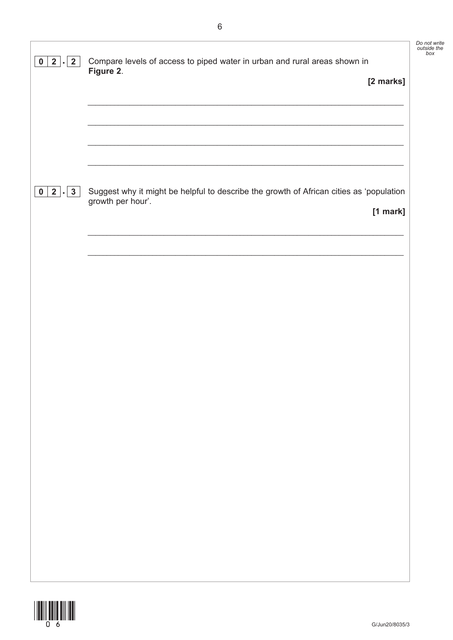| $2$ .<br>$\overline{2}$<br>$\mathbf 0$                  | Compare levels of access to piped water in urban and rural areas shown in                                                  | Do not write<br>outside the<br>box |
|---------------------------------------------------------|----------------------------------------------------------------------------------------------------------------------------|------------------------------------|
|                                                         | Figure 2.<br>[2 marks]                                                                                                     |                                    |
|                                                         |                                                                                                                            |                                    |
|                                                         |                                                                                                                            |                                    |
|                                                         |                                                                                                                            |                                    |
| $2$ $\vert \cdot \vert$<br>$\mathbf{3}$<br>$\mathbf{0}$ | Suggest why it might be helpful to describe the growth of African cities as 'population<br>growth per hour'.<br>$[1$ mark] |                                    |
|                                                         |                                                                                                                            |                                    |
|                                                         |                                                                                                                            |                                    |
|                                                         |                                                                                                                            |                                    |
|                                                         |                                                                                                                            |                                    |
|                                                         |                                                                                                                            |                                    |
|                                                         |                                                                                                                            |                                    |
|                                                         |                                                                                                                            |                                    |
|                                                         |                                                                                                                            |                                    |
|                                                         |                                                                                                                            |                                    |
|                                                         |                                                                                                                            |                                    |
|                                                         |                                                                                                                            |                                    |
|                                                         |                                                                                                                            |                                    |
|                                                         |                                                                                                                            |                                    |
|                                                         |                                                                                                                            |                                    |

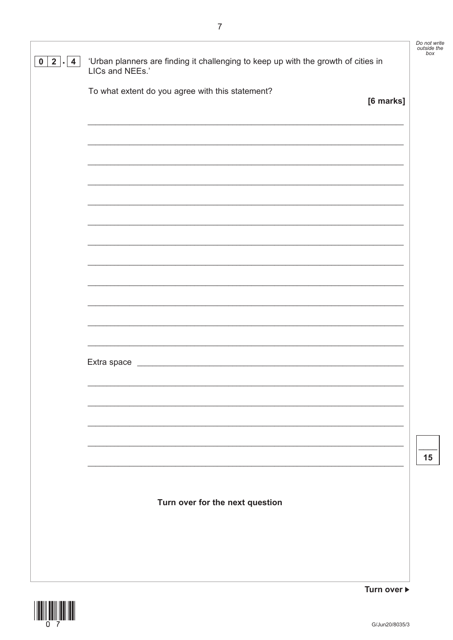|                                   |                                                                                                                       | Do not write<br>outside the<br>box |
|-----------------------------------|-----------------------------------------------------------------------------------------------------------------------|------------------------------------|
| $2 \mid . \mid 4$<br>$\mathbf{0}$ | 'Urban planners are finding it challenging to keep up with the growth of cities in<br>LICs and NEEs.'                 |                                    |
|                                   | To what extent do you agree with this statement?<br>[6 marks]                                                         |                                    |
|                                   |                                                                                                                       |                                    |
|                                   |                                                                                                                       |                                    |
|                                   |                                                                                                                       |                                    |
|                                   | <u> 1989 - Johann Harry Harry Harry Harry Harry Harry Harry Harry Harry Harry Harry Harry Harry Harry Harry Harry</u> |                                    |
|                                   |                                                                                                                       |                                    |
|                                   |                                                                                                                       |                                    |
|                                   |                                                                                                                       |                                    |
|                                   | Extra space<br><u> 1989 - Johann Barbara, martxa alemaniar arg</u>                                                    |                                    |
|                                   |                                                                                                                       |                                    |
|                                   |                                                                                                                       |                                    |
|                                   |                                                                                                                       | 15                                 |
|                                   | Turn over for the next question                                                                                       |                                    |
|                                   |                                                                                                                       |                                    |
|                                   |                                                                                                                       |                                    |
|                                   | Turn over ▶                                                                                                           |                                    |

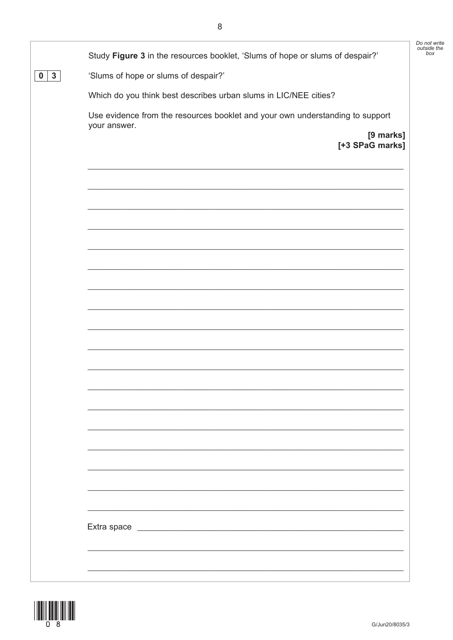|                               |                                                                                               | Do not write<br>outside the |
|-------------------------------|-----------------------------------------------------------------------------------------------|-----------------------------|
|                               | Study Figure 3 in the resources booklet, 'Slums of hope or slums of despair?'                 | box                         |
| $3\phantom{a}$<br>$\mathbf 0$ | 'Slums of hope or slums of despair?'                                                          |                             |
|                               | Which do you think best describes urban slums in LIC/NEE cities?                              |                             |
|                               | Use evidence from the resources booklet and your own understanding to support<br>your answer. |                             |
|                               | [9 marks]<br>[+3 SPaG marks]                                                                  |                             |
|                               |                                                                                               |                             |
|                               |                                                                                               |                             |
|                               |                                                                                               |                             |
|                               |                                                                                               |                             |
|                               |                                                                                               |                             |
|                               |                                                                                               |                             |
|                               |                                                                                               |                             |
|                               |                                                                                               |                             |
|                               |                                                                                               |                             |
|                               |                                                                                               |                             |
|                               |                                                                                               |                             |
|                               |                                                                                               |                             |
|                               |                                                                                               |                             |
|                               |                                                                                               |                             |
|                               |                                                                                               |                             |
|                               |                                                                                               |                             |

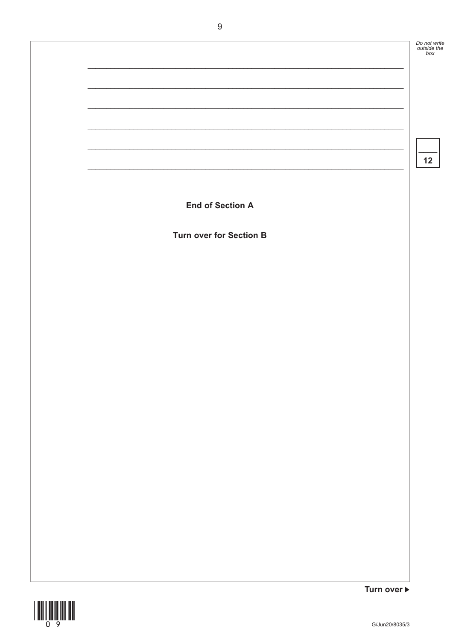

 $\overline{9}$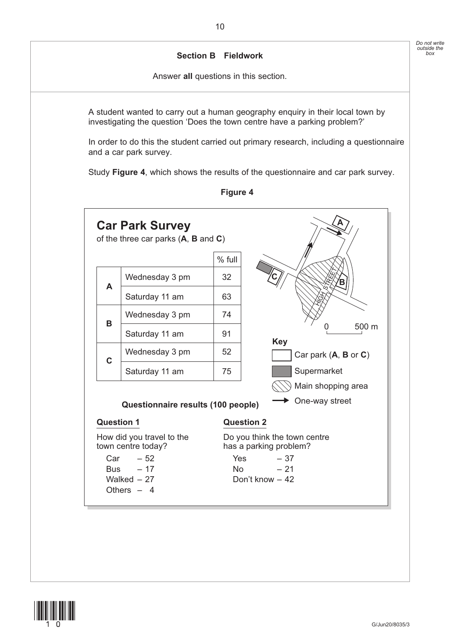### **Section B Fieldwork**

Answer **all** questions in this section.

 A student wanted to carry out a human geography enquiry in their local town by investigating the question 'Does the town centre have a parking problem?'

In order to do this the student carried out primary research, including a questionnaire and a car park survey.

Study **Figure 4**, which shows the results of the questionnaire and car park survey.



**Figure 4**

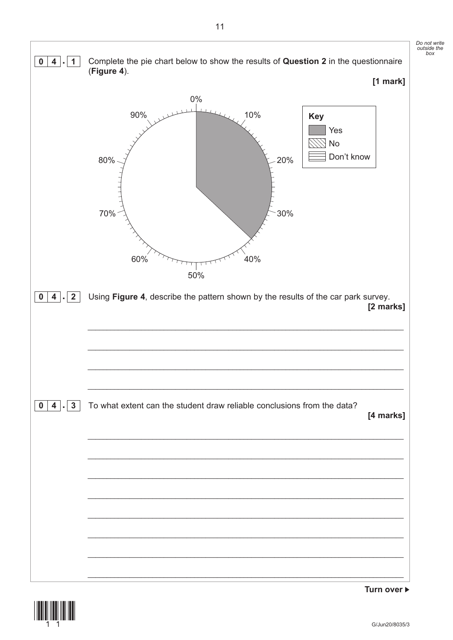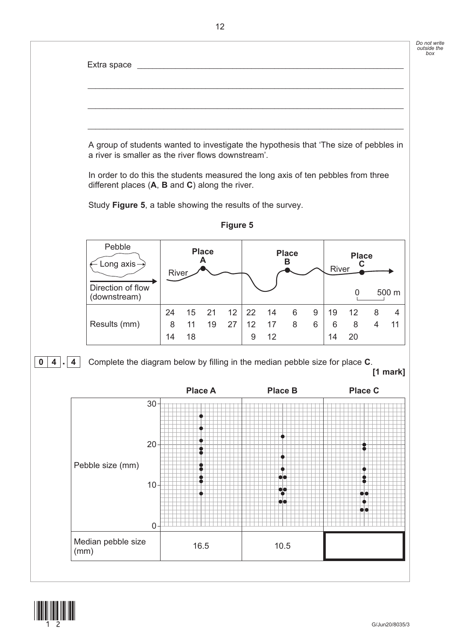



12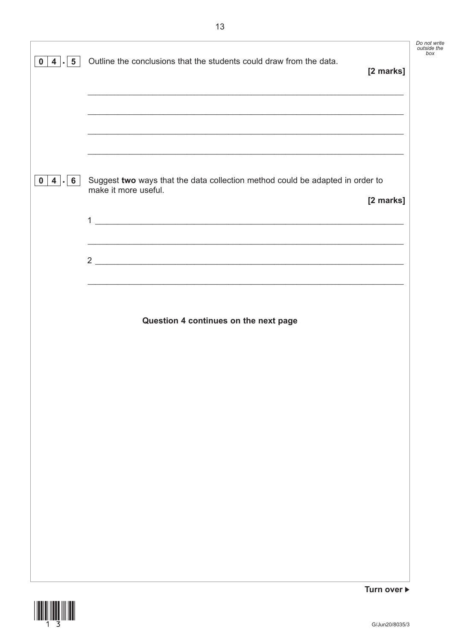| $5^{\circ}$<br>4 . <br>$\mathbf 0$ | Outline the conclusions that the students could draw from the data.                                                        | Do not write<br>outside the<br>box |
|------------------------------------|----------------------------------------------------------------------------------------------------------------------------|------------------------------------|
|                                    | [2 marks]                                                                                                                  |                                    |
|                                    |                                                                                                                            |                                    |
|                                    | ,我们也不能在这里的人,我们也不能在这里的人,我们也不能在这里的人,我们也不能在这里的人,我们也不能在这里的人,我们也不能在这里的人,我们也不能在这里的人,我们也                                          |                                    |
| $4 \mid . \mid 6$<br>$\mathbf 0$   | Suggest two ways that the data collection method could be adapted in order to<br>make it more useful.<br>[2 marks]         |                                    |
|                                    | 1<br><u> 1989 - Johann Harry Barn, mars ar breist fan de Amerikaanske kommunenter fan de Amerikaanske kommunente fan d</u> |                                    |
|                                    |                                                                                                                            |                                    |
|                                    | ,我们也不能在这里的人,我们也不能在这里的人,我们也不能在这里的人,我们也不能在这里的人,我们也不能在这里的人,我们也不能在这里的人,我们也不能在这里的人,我们                                           |                                    |
|                                    | Question 4 continues on the next page                                                                                      |                                    |
|                                    |                                                                                                                            |                                    |
|                                    |                                                                                                                            |                                    |
|                                    |                                                                                                                            |                                    |
|                                    |                                                                                                                            |                                    |
|                                    |                                                                                                                            |                                    |
|                                    |                                                                                                                            |                                    |
|                                    |                                                                                                                            |                                    |
|                                    | Turn over ▶                                                                                                                |                                    |

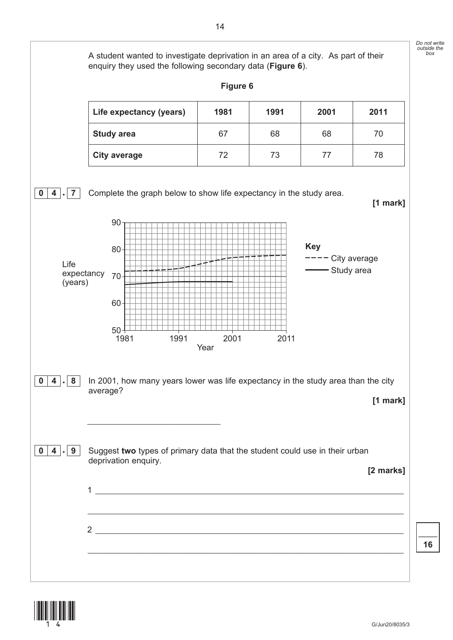

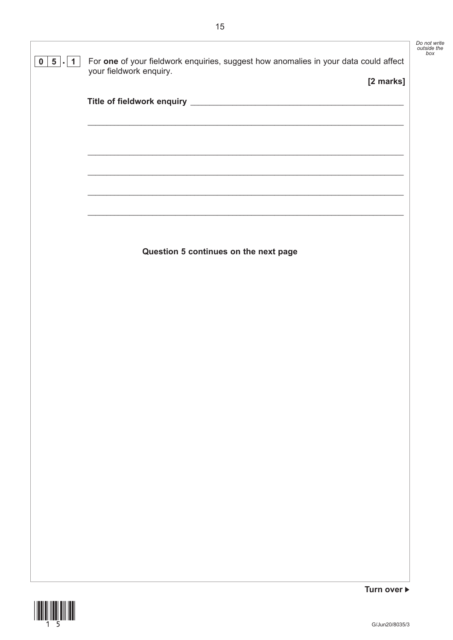| your fieldwork enquiry.               | [2 marks] |
|---------------------------------------|-----------|
|                                       |           |
|                                       |           |
|                                       |           |
|                                       |           |
|                                       |           |
|                                       |           |
| Question 5 continues on the next page |           |
|                                       |           |
|                                       |           |
|                                       |           |
|                                       |           |
|                                       |           |
|                                       |           |
|                                       |           |
|                                       |           |
|                                       |           |
|                                       |           |
|                                       |           |
|                                       |           |
|                                       |           |



Do not write<br>outside the<br>box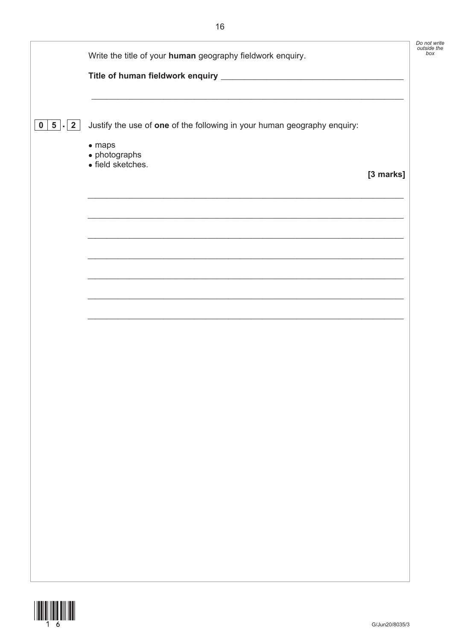|                                  | Write the title of your human geography fieldwork enquiry.                                 | Do not write<br>outside the |
|----------------------------------|--------------------------------------------------------------------------------------------|-----------------------------|
|                                  |                                                                                            |                             |
| $5 \mid . \mid 2$<br>$\mathbf 0$ | Justify the use of one of the following in your human geography enquiry:<br>$\bullet$ maps |                             |
|                                  | $\bullet$ photographs<br>· field sketches.                                                 | [3 marks]                   |
|                                  |                                                                                            |                             |
|                                  |                                                                                            |                             |
|                                  |                                                                                            |                             |
|                                  |                                                                                            |                             |
|                                  |                                                                                            |                             |
|                                  |                                                                                            |                             |
|                                  |                                                                                            |                             |
|                                  |                                                                                            |                             |

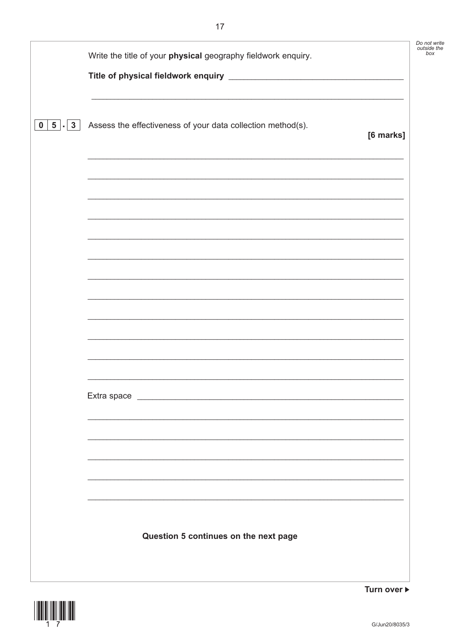|                                                  | Write the title of your physical geography fieldwork enquiry.                                                         | Do not write<br>outside the |
|--------------------------------------------------|-----------------------------------------------------------------------------------------------------------------------|-----------------------------|
| $\vert 5 \vert$ - $\vert 3 \vert$<br>$\mathbf 0$ | Assess the effectiveness of your data collection method(s).                                                           | [6 marks]                   |
|                                                  |                                                                                                                       |                             |
|                                                  | <u> 1989 - Johann Stoff, deutscher Stoff, der Stoff, der Stoff, der Stoff, der Stoff, der Stoff, der Stoff, der S</u> |                             |
|                                                  |                                                                                                                       |                             |
|                                                  |                                                                                                                       |                             |
|                                                  |                                                                                                                       |                             |
|                                                  |                                                                                                                       |                             |
|                                                  |                                                                                                                       |                             |
|                                                  | Question 5 continues on the next page                                                                                 |                             |



Turn over ▶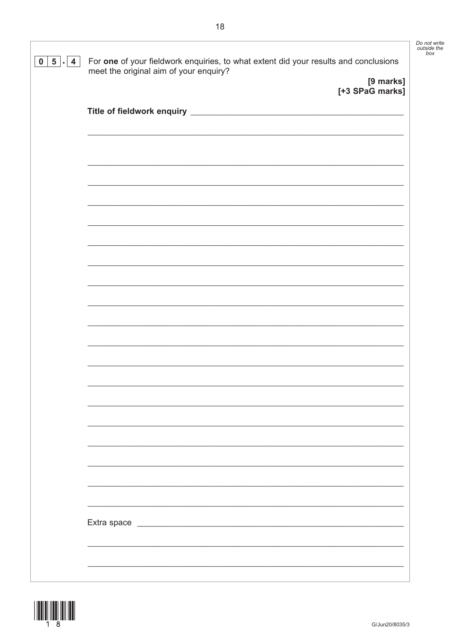| $\overline{4}$<br>0   5 | For one of your fieldwork enquiries, to what extent did your results and conclusions<br>meet the original aim of your enquiry? |  |
|-------------------------|--------------------------------------------------------------------------------------------------------------------------------|--|
|                         | [9 marks]                                                                                                                      |  |
|                         | [+3 SPaG marks]                                                                                                                |  |
|                         |                                                                                                                                |  |
|                         |                                                                                                                                |  |
|                         |                                                                                                                                |  |
|                         |                                                                                                                                |  |
|                         |                                                                                                                                |  |
|                         |                                                                                                                                |  |
|                         |                                                                                                                                |  |
|                         |                                                                                                                                |  |
|                         |                                                                                                                                |  |
|                         |                                                                                                                                |  |
|                         |                                                                                                                                |  |
|                         |                                                                                                                                |  |
|                         |                                                                                                                                |  |
|                         |                                                                                                                                |  |
|                         |                                                                                                                                |  |
|                         |                                                                                                                                |  |
|                         |                                                                                                                                |  |
|                         |                                                                                                                                |  |
|                         |                                                                                                                                |  |
|                         |                                                                                                                                |  |
|                         |                                                                                                                                |  |
|                         |                                                                                                                                |  |
|                         |                                                                                                                                |  |
|                         |                                                                                                                                |  |
|                         |                                                                                                                                |  |
|                         |                                                                                                                                |  |
|                         |                                                                                                                                |  |
|                         |                                                                                                                                |  |
|                         |                                                                                                                                |  |

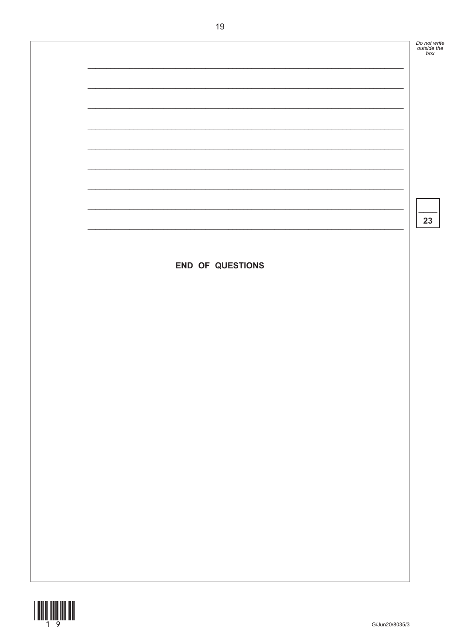Do not write<br>outside the<br>box

23

END OF QUESTIONS